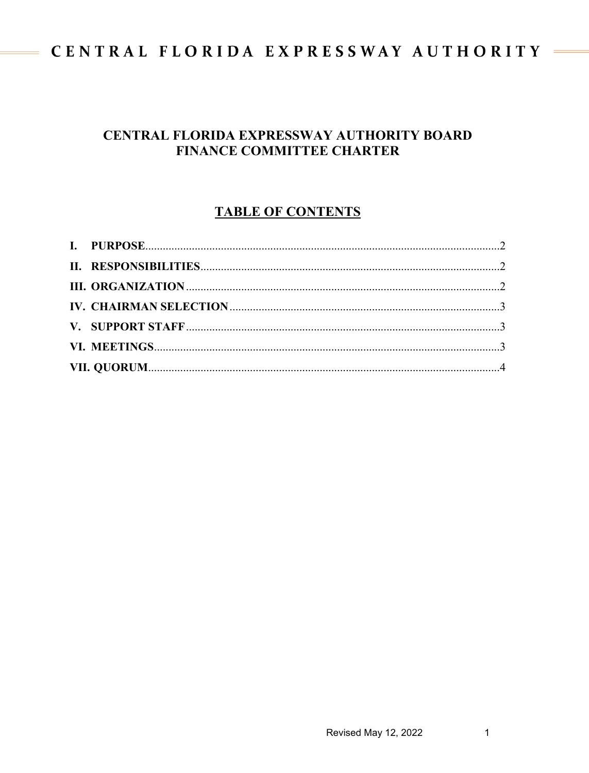# CENTRAL FLORIDA EXPRESSWAY AUTHORITY

## CENTRAL FLORIDA EXPRESSWAY AUTHORITY BOARD **FINANCE COMMITTEE CHARTER**

# **TABLE OF CONTENTS**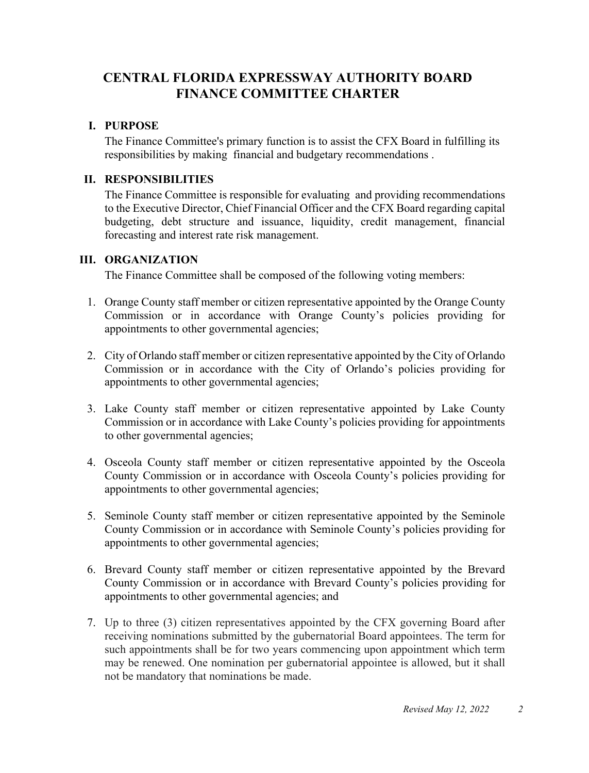# **CENTRAL FLORIDA EXPRESSWAY AUTHORITY BOARD FINANCE COMMITTEE CHARTER**

### <span id="page-1-0"></span>**I. PURPOSE**

The Finance Committee's primary function is to assist the CFX Board in fulfilling its responsibilities by making financial and budgetary recommendations .

#### <span id="page-1-1"></span>**II. RESPONSIBILITIES**

The Finance Committee is responsible for evaluating and providing recommendations to the Executive Director, Chief Financial Officer and the CFX Board regarding capital budgeting, debt structure and issuance, liquidity, credit management, financial forecasting and interest rate risk management.

### <span id="page-1-2"></span>**III. ORGANIZATION**

The Finance Committee shall be composed of the following voting members:

- 1. Orange County staff member or citizen representative appointed by the Orange County Commission or in accordance with Orange County's policies providing for appointments to other governmental agencies;
- 2. City of Orlando staff member or citizen representative appointed by the City of Orlando Commission or in accordance with the City of Orlando's policies providing for appointments to other governmental agencies;
- 3. Lake County staff member or citizen representative appointed by Lake County Commission or in accordance with Lake County's policies providing for appointments to other governmental agencies;
- 4. Osceola County staff member or citizen representative appointed by the Osceola County Commission or in accordance with Osceola County's policies providing for appointments to other governmental agencies;
- 5. Seminole County staff member or citizen representative appointed by the Seminole County Commission or in accordance with Seminole County's policies providing for appointments to other governmental agencies;
- 6. Brevard County staff member or citizen representative appointed by the Brevard County Commission or in accordance with Brevard County's policies providing for appointments to other governmental agencies; and
- 7. Up to three (3) citizen representatives appointed by the CFX governing Board after receiving nominations submitted by the gubernatorial Board appointees. The term for such appointments shall be for two years commencing upon appointment which term may be renewed. One nomination per gubernatorial appointee is allowed, but it shall not be mandatory that nominations be made.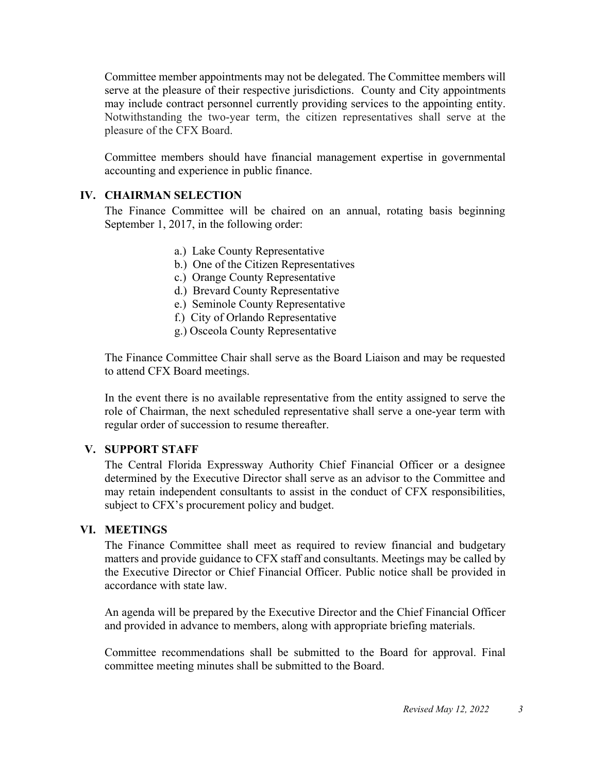Committee member appointments may not be delegated. The Committee members will serve at the pleasure of their respective jurisdictions. County and City appointments may include contract personnel currently providing services to the appointing entity. Notwithstanding the two-year term, the citizen representatives shall serve at the pleasure of the CFX Board.

Committee members should have financial management expertise in governmental accounting and experience in public finance.

#### <span id="page-2-0"></span>**IV. CHAIRMAN SELECTION**

The Finance Committee will be chaired on an annual, rotating basis beginning September 1, 2017, in the following order:

- a.) Lake County Representative
- b.) One of the Citizen Representatives
- c.) Orange County Representative
- d.) Brevard County Representative
- e.) Seminole County Representative
- f.) City of Orlando Representative
- g.) Osceola County Representative

The Finance Committee Chair shall serve as the Board Liaison and may be requested to attend CFX Board meetings.

In the event there is no available representative from the entity assigned to serve the role of Chairman, the next scheduled representative shall serve a one-year term with regular order of succession to resume thereafter.

### <span id="page-2-1"></span>**V. SUPPORT STAFF**

The Central Florida Expressway Authority Chief Financial Officer or a designee determined by the Executive Director shall serve as an advisor to the Committee and may retain independent consultants to assist in the conduct of CFX responsibilities, subject to CFX's procurement policy and budget.

#### <span id="page-2-2"></span>**VI. MEETINGS**

The Finance Committee shall meet as required to review financial and budgetary matters and provide guidance to CFX staff and consultants. Meetings may be called by the Executive Director or Chief Financial Officer. Public notice shall be provided in accordance with state law.

An agenda will be prepared by the Executive Director and the Chief Financial Officer and provided in advance to members, along with appropriate briefing materials.

Committee recommendations shall be submitted to the Board for approval. Final committee meeting minutes shall be submitted to the Board.